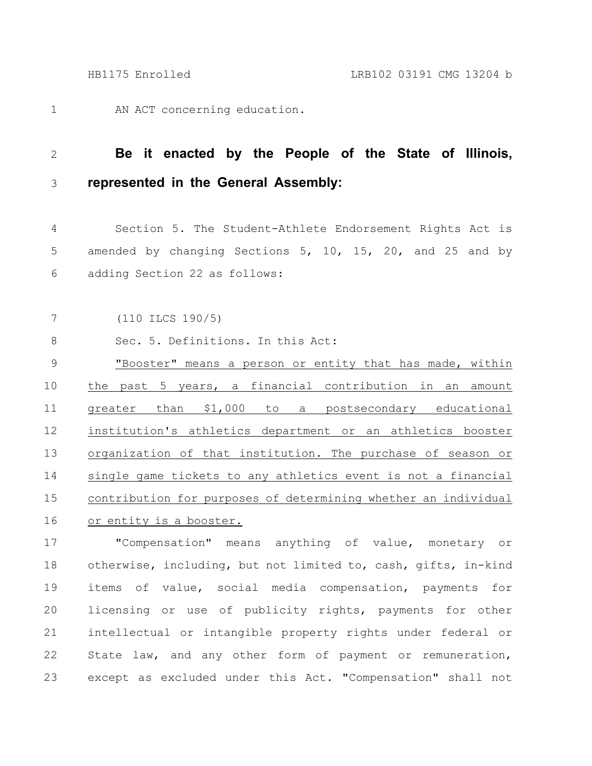AN ACT concerning education. 1

## **Be it enacted by the People of the State of Illinois, represented in the General Assembly:** 2 3

Section 5. The Student-Athlete Endorsement Rights Act is amended by changing Sections 5, 10, 15, 20, and 25 and by adding Section 22 as follows: 4 5 6

(110 ILCS 190/5) 7

Sec. 5. Definitions. In this Act: 8

"Booster" means a person or entity that has made, within the past 5 years, a financial contribution in an amount greater than \$1,000 to a postsecondary educational institution's athletics department or an athletics booster organization of that institution. The purchase of season or single game tickets to any athletics event is not a financial contribution for purposes of determining whether an individual or entity is a booster. 9 10 11 12 13 14 15 16

"Compensation" means anything of value, monetary or otherwise, including, but not limited to, cash, gifts, in-kind items of value, social media compensation, payments for licensing or use of publicity rights, payments for other intellectual or intangible property rights under federal or State law, and any other form of payment or remuneration, except as excluded under this Act. "Compensation" shall not 17 18 19 20 21 22 23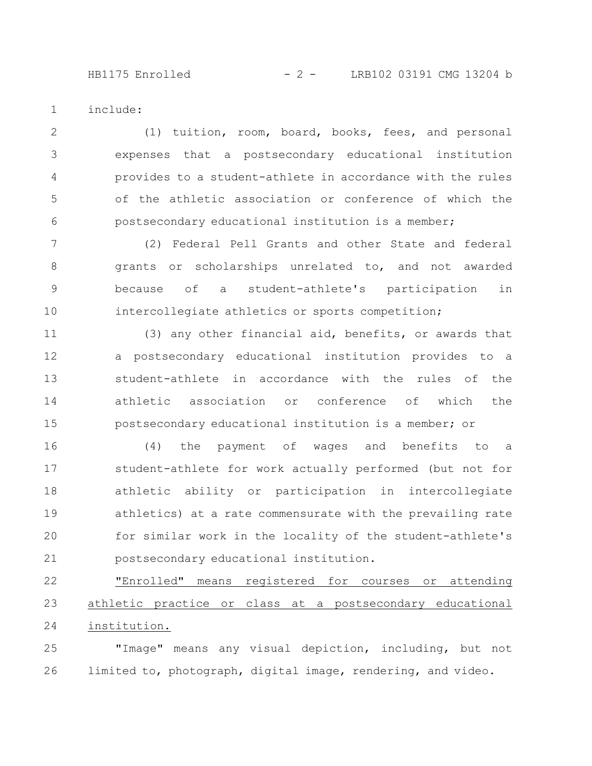include: 1

(1) tuition, room, board, books, fees, and personal expenses that a postsecondary educational institution provides to a student-athlete in accordance with the rules of the athletic association or conference of which the postsecondary educational institution is a member; 2 3 4 5 6

(2) Federal Pell Grants and other State and federal grants or scholarships unrelated to, and not awarded because of a student-athlete's participation in intercollegiate athletics or sports competition; 7 8 9 10

(3) any other financial aid, benefits, or awards that a postsecondary educational institution provides to a student-athlete in accordance with the rules of the athletic association or conference of which the postsecondary educational institution is a member; or 11 12 13 14 15

(4) the payment of wages and benefits to a student-athlete for work actually performed (but not for athletic ability or participation in intercollegiate athletics) at a rate commensurate with the prevailing rate for similar work in the locality of the student-athlete's postsecondary educational institution. 16 17 18 19 20 21

"Enrolled" means registered for courses or attending athletic practice or class at a postsecondary educational institution. 22 23 24

"Image" means any visual depiction, including, but not limited to, photograph, digital image, rendering, and video. 25 26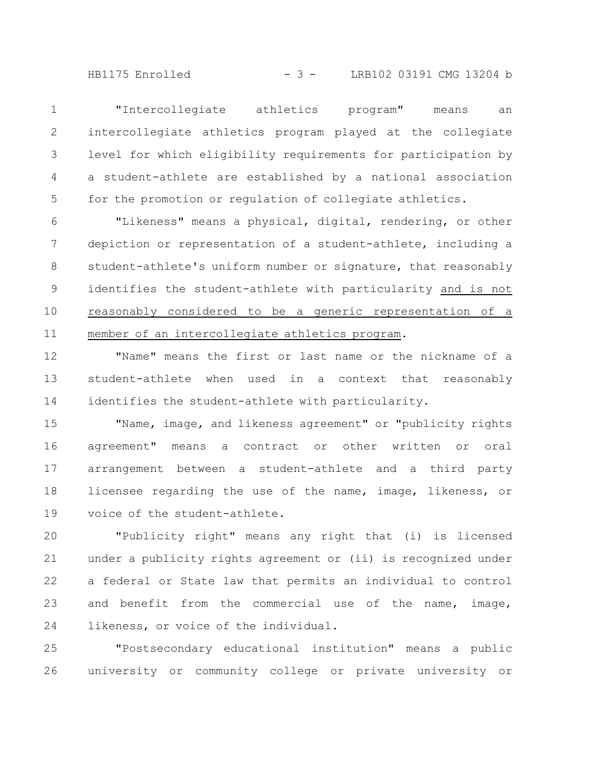HB1175 Enrolled - 3 - LRB102 03191 CMG 13204 b

"Intercollegiate athletics program" means an intercollegiate athletics program played at the collegiate level for which eligibility requirements for participation by a student-athlete are established by a national association for the promotion or regulation of collegiate athletics. 1 2 3 4 5

"Likeness" means a physical, digital, rendering, or other depiction or representation of a student-athlete, including a student-athlete's uniform number or signature, that reasonably identifies the student-athlete with particularity and is not reasonably considered to be a generic representation of a member of an intercollegiate athletics program. 6 7 8 9 10 11

"Name" means the first or last name or the nickname of a student-athlete when used in a context that reasonably identifies the student-athlete with particularity. 12 13 14

"Name, image, and likeness agreement" or "publicity rights agreement" means a contract or other written or oral arrangement between a student-athlete and a third party licensee regarding the use of the name, image, likeness, or voice of the student-athlete. 15 16 17 18 19

"Publicity right" means any right that (i) is licensed under a publicity rights agreement or (ii) is recognized under a federal or State law that permits an individual to control and benefit from the commercial use of the name, image, likeness, or voice of the individual. 20 21 22 23 24

"Postsecondary educational institution" means a public university or community college or private university or 25 26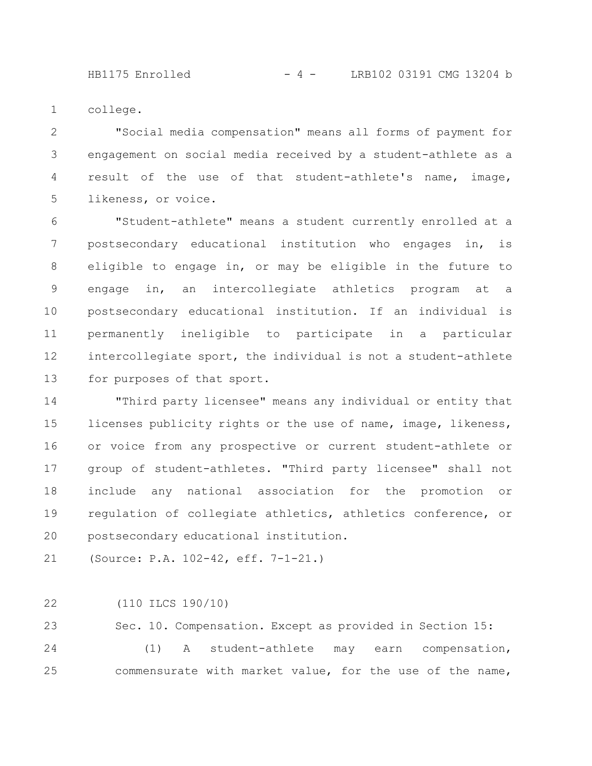HB1175 Enrolled - 4 - LRB102 03191 CMG 13204 b

college. 1

"Social media compensation" means all forms of payment for engagement on social media received by a student-athlete as a result of the use of that student-athlete's name, image, likeness, or voice. 2 3 4 5

"Student-athlete" means a student currently enrolled at a postsecondary educational institution who engages in, is eligible to engage in, or may be eligible in the future to engage in, an intercollegiate athletics program at a postsecondary educational institution. If an individual is permanently ineligible to participate in a particular intercollegiate sport, the individual is not a student-athlete for purposes of that sport. 6 7 8 9 10 11 12 13

"Third party licensee" means any individual or entity that licenses publicity rights or the use of name, image, likeness, or voice from any prospective or current student-athlete or group of student-athletes. "Third party licensee" shall not include any national association for the promotion or regulation of collegiate athletics, athletics conference, or postsecondary educational institution. 14 15 16 17 18 19 20

(Source: P.A. 102-42, eff. 7-1-21.) 21

(110 ILCS 190/10) 22

Sec. 10. Compensation. Except as provided in Section 15: (1) A student-athlete may earn compensation, commensurate with market value, for the use of the name, 23 24 25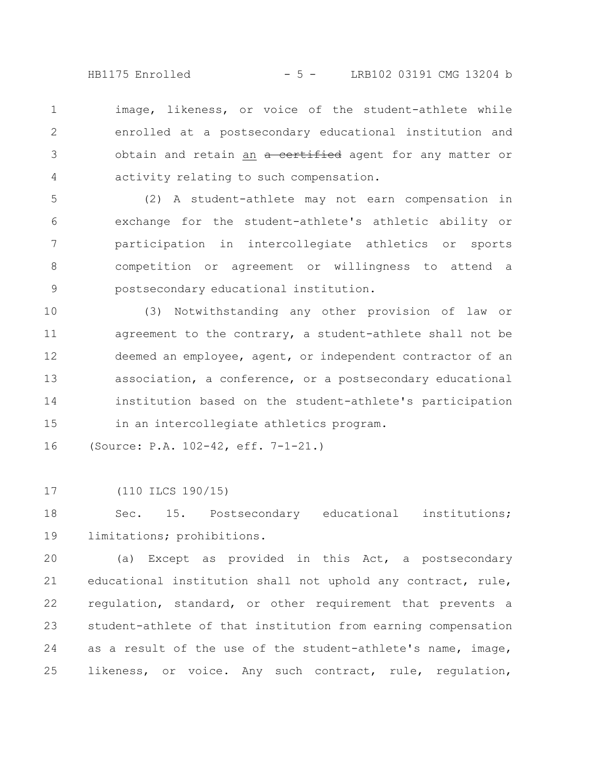HB1175 Enrolled - 5 - LRB102 03191 CMG 13204 b

image, likeness, or voice of the student-athlete while enrolled at a postsecondary educational institution and obtain and retain an a certified agent for any matter or activity relating to such compensation. 1 2 3 4

(2) A student-athlete may not earn compensation in exchange for the student-athlete's athletic ability or participation in intercollegiate athletics or sports competition or agreement or willingness to attend a postsecondary educational institution. 5 6 7 8 9

(3) Notwithstanding any other provision of law or agreement to the contrary, a student-athlete shall not be deemed an employee, agent, or independent contractor of an association, a conference, or a postsecondary educational institution based on the student-athlete's participation in an intercollegiate athletics program. 10 11 12 13 14 15

(Source: P.A. 102-42, eff. 7-1-21.) 16

(110 ILCS 190/15) 17

Sec. 15. Postsecondary educational institutions; limitations; prohibitions. 18 19

(a) Except as provided in this Act, a postsecondary educational institution shall not uphold any contract, rule, regulation, standard, or other requirement that prevents a student-athlete of that institution from earning compensation as a result of the use of the student-athlete's name, image, likeness, or voice. Any such contract, rule, regulation, 20 21 22 23 24 25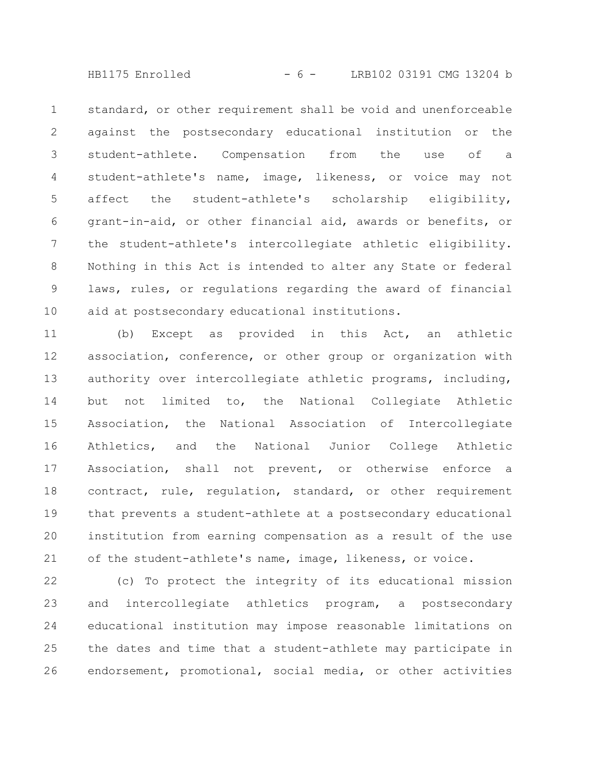HB1175 Enrolled - 6 - LRB102 03191 CMG 13204 b

standard, or other requirement shall be void and unenforceable against the postsecondary educational institution or the student-athlete. Compensation from the use of a student-athlete's name, image, likeness, or voice may not affect the student-athlete's scholarship eligibility, grant-in-aid, or other financial aid, awards or benefits, or the student-athlete's intercollegiate athletic eligibility. Nothing in this Act is intended to alter any State or federal laws, rules, or regulations regarding the award of financial aid at postsecondary educational institutions. 1 2 3 4 5 6 7 8 9 10

(b) Except as provided in this Act, an athletic association, conference, or other group or organization with authority over intercollegiate athletic programs, including, but not limited to, the National Collegiate Athletic Association, the National Association of Intercollegiate Athletics, and the National Junior College Athletic Association, shall not prevent, or otherwise enforce a contract, rule, regulation, standard, or other requirement that prevents a student-athlete at a postsecondary educational institution from earning compensation as a result of the use of the student-athlete's name, image, likeness, or voice. 11 12 13 14 15 16 17 18 19 20 21

(c) To protect the integrity of its educational mission and intercollegiate athletics program, a postsecondary educational institution may impose reasonable limitations on the dates and time that a student-athlete may participate in endorsement, promotional, social media, or other activities 22 23 24 25 26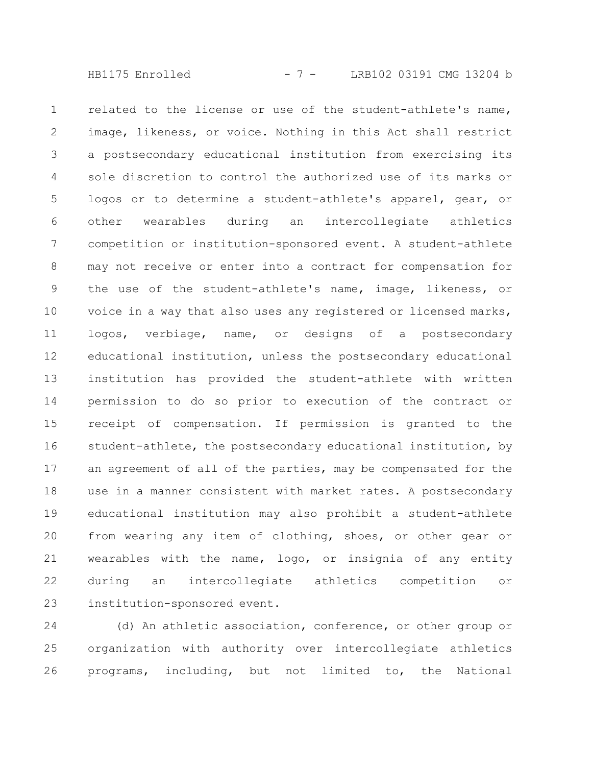HB1175 Enrolled - 7 - LRB102 03191 CMG 13204 b

related to the license or use of the student-athlete's name, image, likeness, or voice. Nothing in this Act shall restrict a postsecondary educational institution from exercising its sole discretion to control the authorized use of its marks or logos or to determine a student-athlete's apparel, gear, or other wearables during an intercollegiate athletics competition or institution-sponsored event. A student-athlete may not receive or enter into a contract for compensation for the use of the student-athlete's name, image, likeness, or voice in a way that also uses any registered or licensed marks, logos, verbiage, name, or designs of a postsecondary educational institution, unless the postsecondary educational institution has provided the student-athlete with written permission to do so prior to execution of the contract or receipt of compensation. If permission is granted to the student-athlete, the postsecondary educational institution, by an agreement of all of the parties, may be compensated for the use in a manner consistent with market rates. A postsecondary educational institution may also prohibit a student-athlete from wearing any item of clothing, shoes, or other gear or wearables with the name, logo, or insignia of any entity during an intercollegiate athletics competition or institution-sponsored event. 1 2 3 4 5 6 7 8 9 10 11 12 13 14 15 16 17 18 19 20 21 22 23

(d) An athletic association, conference, or other group or organization with authority over intercollegiate athletics programs, including, but not limited to, the National 24 25 26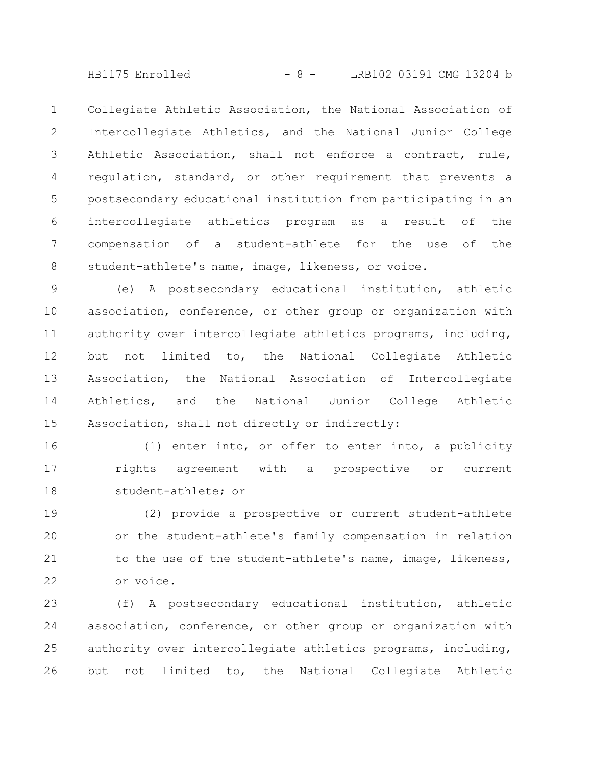HB1175 Enrolled - 8 - LRB102 03191 CMG 13204 b

Collegiate Athletic Association, the National Association of Intercollegiate Athletics, and the National Junior College Athletic Association, shall not enforce a contract, rule, regulation, standard, or other requirement that prevents a postsecondary educational institution from participating in an intercollegiate athletics program as a result of the compensation of a student-athlete for the use of the student-athlete's name, image, likeness, or voice. 1 2 3 4 5 6 7 8

(e) A postsecondary educational institution, athletic association, conference, or other group or organization with authority over intercollegiate athletics programs, including, but not limited to, the National Collegiate Athletic Association, the National Association of Intercollegiate Athletics, and the National Junior College Athletic Association, shall not directly or indirectly: 9 10 11 12 13 14 15

(1) enter into, or offer to enter into, a publicity rights agreement with a prospective or current student-athlete; or 16 17 18

(2) provide a prospective or current student-athlete or the student-athlete's family compensation in relation to the use of the student-athlete's name, image, likeness, or voice. 19 20 21 22

(f) A postsecondary educational institution, athletic association, conference, or other group or organization with authority over intercollegiate athletics programs, including, but not limited to, the National Collegiate Athletic 23 24 25 26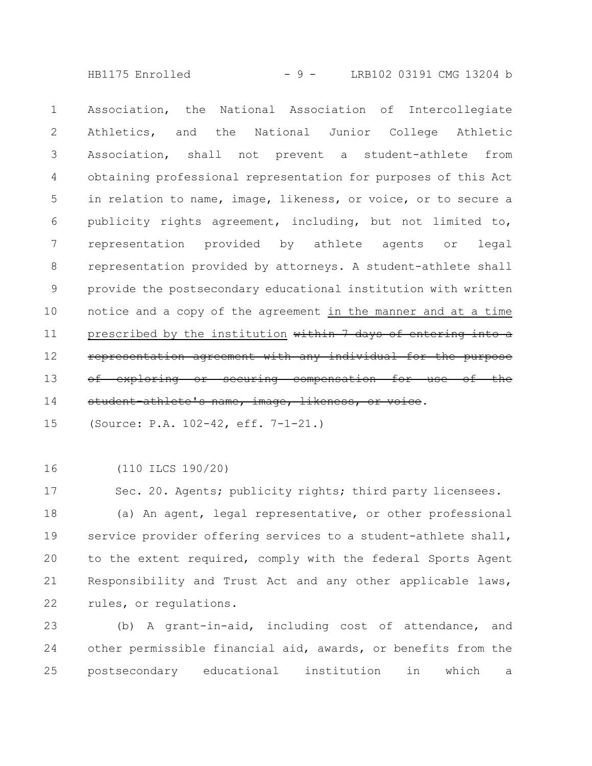HB1175 Enrolled - 9 - LRB102 03191 CMG 13204 b

Association, the National Association of Intercollegiate Athletics, and the National Junior College Athletic Association, shall not prevent a student-athlete from obtaining professional representation for purposes of this Act in relation to name, image, likeness, or voice, or to secure a publicity rights agreement, including, but not limited to, representation provided by athlete agents or legal representation provided by attorneys. A student-athlete shall provide the postsecondary educational institution with written notice and a copy of the agreement in the manner and at a time prescribed by the institution within 7 days of entering into a representation agreement with any individual for -exploring or securing compensation student-athlete's name, image, likeness, or voice. 1 2 3 4 5 6 7 8 9 10 11 12 13 14

(Source: P.A. 102-42, eff. 7-1-21.) 15

(110 ILCS 190/20) 16

Sec. 20. Agents; publicity rights; third party licensees. 17

(a) An agent, legal representative, or other professional service provider offering services to a student-athlete shall, to the extent required, comply with the federal Sports Agent Responsibility and Trust Act and any other applicable laws, rules, or regulations. 18 19 20 21 22

(b) A grant-in-aid, including cost of attendance, and other permissible financial aid, awards, or benefits from the postsecondary educational institution in which a 23 24 25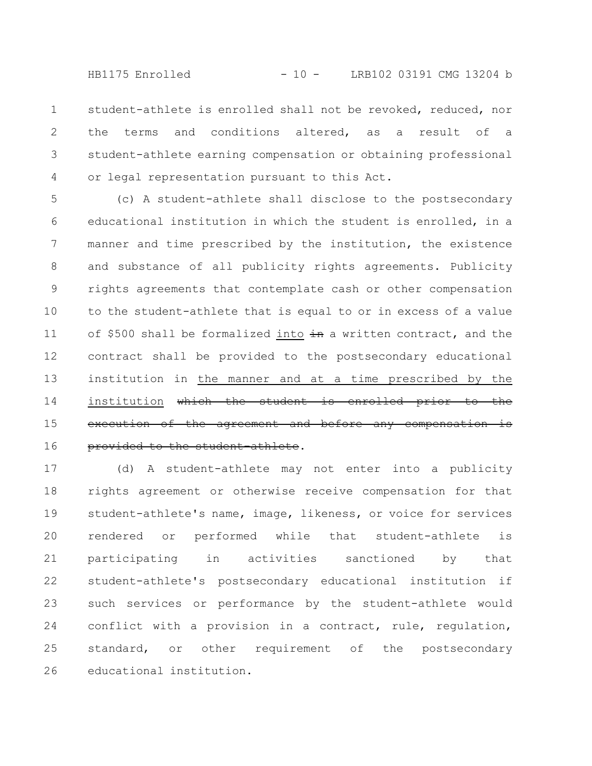HB1175 Enrolled - 10 - LRB102 03191 CMG 13204 b

student-athlete is enrolled shall not be revoked, reduced, nor the terms and conditions altered, as a result of a student-athlete earning compensation or obtaining professional or legal representation pursuant to this Act. 1 2 3 4

(c) A student-athlete shall disclose to the postsecondary educational institution in which the student is enrolled, in a manner and time prescribed by the institution, the existence and substance of all publicity rights agreements. Publicity rights agreements that contemplate cash or other compensation to the student-athlete that is equal to or in excess of a value of \$500 shall be formalized into  $\frac{1}{2}$  a written contract, and the contract shall be provided to the postsecondary educational institution in the manner and at a time prescribed by the institution which the student is enrolled prior to the execution of the agreement and before any compensation provided to the student athlete. 5 6 7 8 9 10 11 12 13 14 15 16

(d) A student-athlete may not enter into a publicity rights agreement or otherwise receive compensation for that student-athlete's name, image, likeness, or voice for services rendered or performed while that student-athlete is participating in activities sanctioned by that student-athlete's postsecondary educational institution if such services or performance by the student-athlete would conflict with a provision in a contract, rule, regulation, standard, or other requirement of the postsecondary educational institution. 17 18 19 20 21 22 23 24 25 26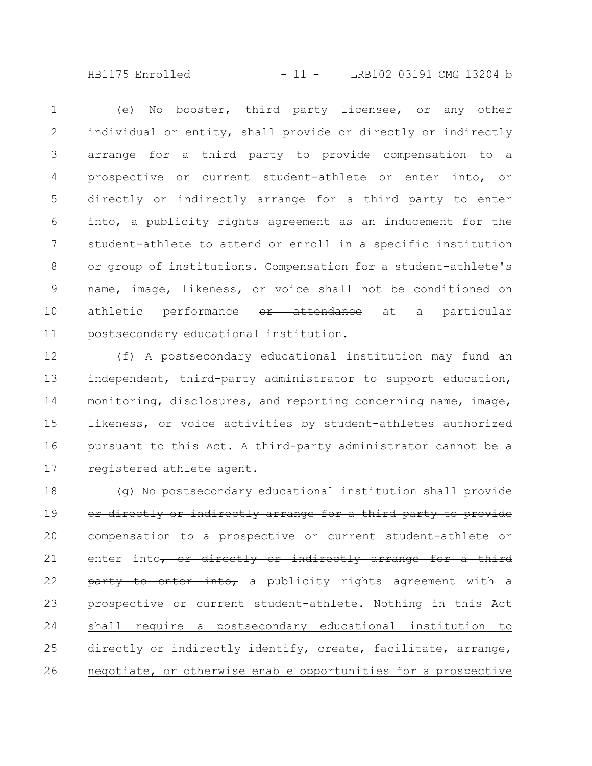HB1175 Enrolled - 11 - LRB102 03191 CMG 13204 b

(e) No booster, third party licensee, or any other individual or entity, shall provide or directly or indirectly arrange for a third party to provide compensation to a prospective or current student-athlete or enter into, or directly or indirectly arrange for a third party to enter into, a publicity rights agreement as an inducement for the student-athlete to attend or enroll in a specific institution or group of institutions. Compensation for a student-athlete's name, image, likeness, or voice shall not be conditioned on athletic performance <del>or attendance</del> at a particular postsecondary educational institution. 1 2 3 4 5 6 7 8 9 10 11

(f) A postsecondary educational institution may fund an independent, third-party administrator to support education, monitoring, disclosures, and reporting concerning name, image, likeness, or voice activities by student-athletes authorized pursuant to this Act. A third-party administrator cannot be a registered athlete agent. 12 13 14 15 16 17

(g) No postsecondary educational institution shall provide or directly or indirectly arrange for a third party to provide compensation to a prospective or current student-athlete or enter into, or directly or indirectly arrange for a third party to enter into, a publicity rights agreement with a prospective or current student-athlete. Nothing in this Act shall require a postsecondary educational institution to directly or indirectly identify, create, facilitate, arrange, negotiate, or otherwise enable opportunities for a prospective 18 19 20 21 22 23 24 25 26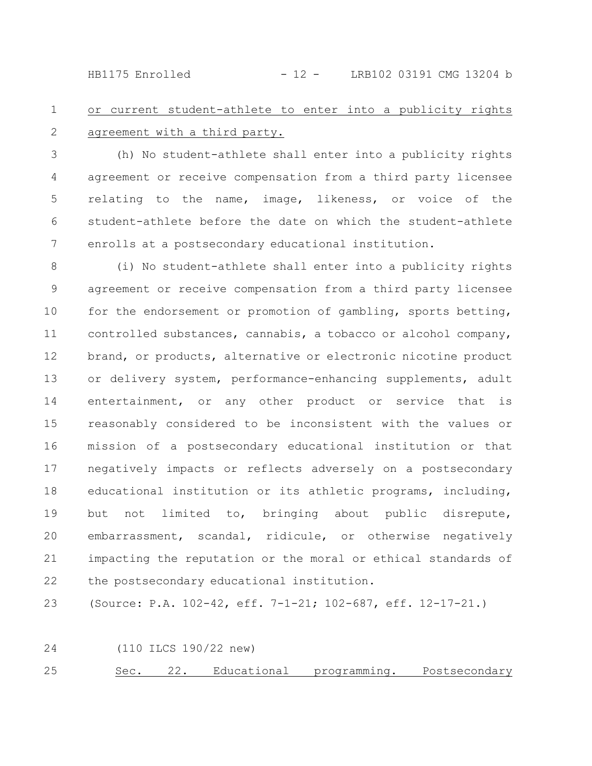HB1175 Enrolled - 12 - LRB102 03191 CMG 13204 b

## or current student-athlete to enter into a publicity rights agreement with a third party. 1 2

(h) No student-athlete shall enter into a publicity rights agreement or receive compensation from a third party licensee relating to the name, image, likeness, or voice of the student-athlete before the date on which the student-athlete enrolls at a postsecondary educational institution. 3 4 5 6 7

(i) No student-athlete shall enter into a publicity rights agreement or receive compensation from a third party licensee for the endorsement or promotion of gambling, sports betting, controlled substances, cannabis, a tobacco or alcohol company, brand, or products, alternative or electronic nicotine product or delivery system, performance-enhancing supplements, adult entertainment, or any other product or service that is reasonably considered to be inconsistent with the values or mission of a postsecondary educational institution or that negatively impacts or reflects adversely on a postsecondary educational institution or its athletic programs, including, but not limited to, bringing about public disrepute, embarrassment, scandal, ridicule, or otherwise negatively impacting the reputation or the moral or ethical standards of the postsecondary educational institution. 8 9 10 11 12 13 14 15 16 17 18 19 20 21 22

(Source: P.A. 102-42, eff. 7-1-21; 102-687, eff. 12-17-21.) 23

(110 ILCS 190/22 new) 24

Sec. 22. Educational programming. Postsecondary 25